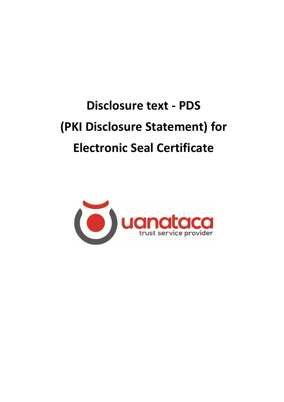# **Disclosure text - PDS (PKI Disclosure Statement) for Electronic Seal Certificate**

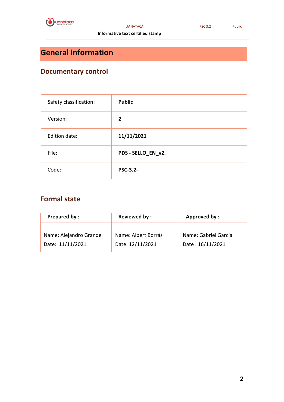

 **Informative text certified stamp**

### **General information**

### **Documentary control**

| Safety classification: | <b>Public</b>      |
|------------------------|--------------------|
| Version:               | $\overline{2}$     |
| Edition date:          | 11/11/2021         |
| File:                  | PDS - SELLO_EN_v2. |
| Code:                  | <b>PSC-3.2-</b>    |

### **Formal state**

| <b>Prepared by:</b>    | <b>Reviewed by:</b> | Approved by:         |
|------------------------|---------------------|----------------------|
| Name: Alejandro Grande | Name: Albert Borrás | Name: Gabriel García |
| Date: 11/11/2021       | Date: 12/11/2021    | Date: 16/11/2021     |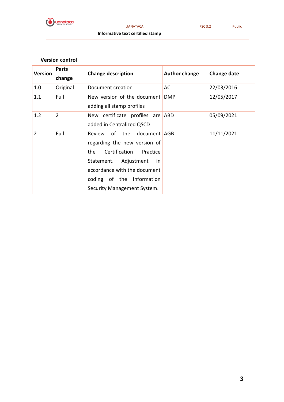

 **Informative text certified stamp**

#### **Version control**

| <b>Version</b> | <b>Parts</b><br>change | <b>Change description</b>                                                                                                                                                                                               | <b>Author change</b> | <b>Change date</b> |
|----------------|------------------------|-------------------------------------------------------------------------------------------------------------------------------------------------------------------------------------------------------------------------|----------------------|--------------------|
| 1.0            | Original               | Document creation                                                                                                                                                                                                       | AC                   | 22/03/2016         |
| 1.1            | Full                   | New version of the document<br>adding all stamp profiles                                                                                                                                                                | <b>DMP</b>           | 12/05/2017         |
| 1.2            | $\overline{2}$         | New certificate profiles are<br>added in Centralized QSCD                                                                                                                                                               | ABD                  | 05/09/2021         |
| $\overline{2}$ | Full                   | Review of the document AGB<br>regarding the new version of<br>Certification Practice<br>the<br>Statement. Adjustment<br>in.<br>accordance with the document<br>coding of the Information<br>Security Management System. |                      | 11/11/2021         |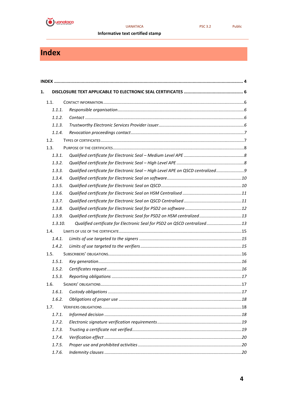

#### **UANATACA**

Public

Informative text certified stamp

### <span id="page-3-0"></span>Index

| 1.   |         |                                                                                |    |
|------|---------|--------------------------------------------------------------------------------|----|
|      | 1.1.    |                                                                                |    |
|      | 1.1.1.  |                                                                                |    |
|      | 1.1.2.  |                                                                                |    |
|      | 1.1.3.  |                                                                                |    |
|      | 1.1.4.  |                                                                                |    |
|      | 1.2.    |                                                                                |    |
| 1.3. |         |                                                                                |    |
|      | 1.3.1.  |                                                                                |    |
|      | 1.3.2.  |                                                                                |    |
|      | 1.3.3.  | Qualified certificate for Electronic Seal - High Level APE on QSCD centralized |    |
|      | 1.3.4.  |                                                                                |    |
|      | 1.3.5.  |                                                                                |    |
|      | 1.3.6.  |                                                                                |    |
|      | 1.3.7.  |                                                                                |    |
|      | 1.3.8.  |                                                                                |    |
|      | 1.3.9.  |                                                                                |    |
|      | 1.3.10. | Qualified certificate for Electronic Seal for PSD2 on QSCD centralized13       |    |
|      | 1.4.    |                                                                                |    |
|      | 1.4.1.  |                                                                                |    |
|      | 1.4.2.  |                                                                                |    |
|      | 1.5.    |                                                                                |    |
|      | 1.5.1.  |                                                                                |    |
|      | 1.5.2.  |                                                                                |    |
|      | 1.5.3.  |                                                                                |    |
|      | 1.6.    |                                                                                |    |
|      |         |                                                                                | 17 |
|      | 1.6.2.  |                                                                                |    |
|      | 1.7.    |                                                                                |    |
|      | 1.7.1.  |                                                                                |    |
|      | 1.7.2.  |                                                                                |    |
|      | 1.7.3.  |                                                                                |    |
|      | 1.7.4.  |                                                                                |    |
|      | 1.7.5.  |                                                                                |    |
|      | 1.7.6.  |                                                                                |    |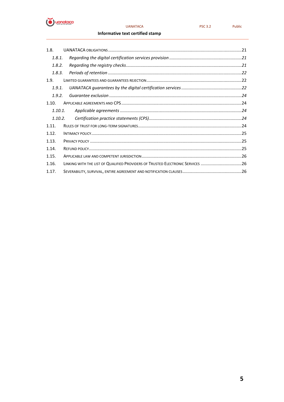

#### **UANATACA**

Public

#### Informative text certified stamp

| 1.8.    |                                                                                |  |
|---------|--------------------------------------------------------------------------------|--|
| 1.8.1.  |                                                                                |  |
| 1.8.2.  |                                                                                |  |
| 1.8.3.  |                                                                                |  |
| 1.9.    |                                                                                |  |
| 1.9.1.  |                                                                                |  |
| 1.9.2.  |                                                                                |  |
| 1.10.   |                                                                                |  |
| 1.10.1. |                                                                                |  |
| 1.10.2. |                                                                                |  |
| 1.11.   |                                                                                |  |
| 1.12.   |                                                                                |  |
| 1.13.   |                                                                                |  |
| 1.14.   |                                                                                |  |
| 1.15.   |                                                                                |  |
| 1.16.   | LINKING WITH THE LIST OF QUALIFIED PROVIDERS OF TRUSTED ELECTRONIC SERVICES 26 |  |
| 1.17.   |                                                                                |  |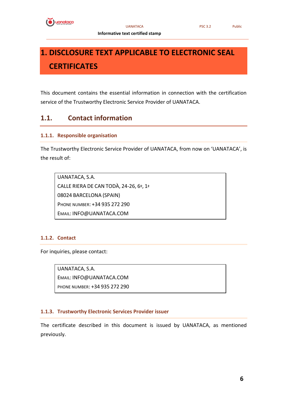

 **Informative text certified stamp**

## <span id="page-5-0"></span>**1. DISCLOSURE TEXT APPLICABLE TO ELECTRONIC SEAL CERTIFICATES**

This document contains the essential information in connection with the certification service of the Trustworthy Electronic Service Provider of UANATACA.

#### <span id="page-5-1"></span>**1.1. Contact information**

#### <span id="page-5-2"></span>**1.1.1. Responsible organisation**

The Trustworthy Electronic Service Provider of UANATACA, from now on 'UANATACA', is the result of:

UANATACA, S.A. CALLE RIERA DE CAN TODÀ, 24-26, 6º, 1ª 08024 BARCELONA (SPAIN) PHONE NUMBER: +34 935 272 290 EMAIL: INFO@UANATACA.COM

#### <span id="page-5-3"></span>**1.1.2. Contact**

For inquiries, please contact:

UANATACA, S.A. EMAIL: INFO@UANATACA.COM PHONE NUMBER: +34 935 272 290

#### <span id="page-5-4"></span>**1.1.3. Trustworthy Electronic Services Provider issuer**

The certificate described in this document is issued by UANATACA, as mentioned previously.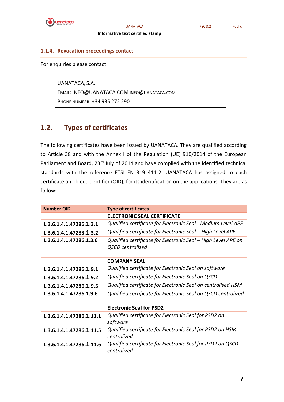

#### UANATACA PSC 3.2 Public

#### <span id="page-6-0"></span>**1.1.4. Revocation proceedings contact**

For enquiries please contact:

UANATACA, S.A. EMAIL: INFO@UANATACA.COM INFO@UANATACA.COM PHONE NUMBER: +34 935 272 290

#### <span id="page-6-1"></span>**1.2. Types of certificates**

The following certificates have been issued by UANATACA. They are qualified according to Article 38 and with the Annex I of the Regulation (UE) 910/2014 of the European Parliament and Board, 23<sup>rd</sup> July of 2014 and have complied with the identified technical standards with the reference ETSI EN 319 411-2. UANATACA has assigned to each certificate an object identifier (OID), for its identification on the applications. They are as follow:

| <b>Number OID</b>        | <b>Type of certificates</b>                                                              |
|--------------------------|------------------------------------------------------------------------------------------|
|                          | <b>ELECTRONIC SEAL CERTIFICATE</b>                                                       |
| 1.3.6.1.4.1.47286.1.3.1  | Qualified certificate for Electronic Seal - Medium Level APE                             |
| 1.3.6.1.4.1.47283.1.3.2  | Qualified certificate for Electronic Seal - High Level APE                               |
| 1.3.6.1.4.1.47286.1.3.6  | Qualified certificate for Electronic Seal – High Level APE on<br><b>QSCD</b> centralized |
|                          |                                                                                          |
|                          | <b>COMPANY SEAL</b>                                                                      |
| 1.3.6.1.4.1.47286.1.9.1  | Qualified certificate for Electronic Seal on software                                    |
| 1.3.6.1.4.1.47286.1.9.2  | Qualified certificate for Electronic Seal on QSCD                                        |
| 1.3.6.1.4.1.47286.1.9.5  | Qualified certificate for Electronic Seal on centralised HSM                             |
| 1.3.6.1.4.1.47286.1.9.6  | Qualified certificate for Electronic Seal on QSCD centralized                            |
|                          |                                                                                          |
|                          | <b>Electronic Seal for PSD2</b>                                                          |
| 1.3.6.1.4.1.47286.1.11.1 | Qualified certificate for Electronic Seal for PSD2 on<br>software                        |
| 1.3.6.1.4.1.47286.1.11.5 | Qualified certificate for Electronic Seal for PSD2 on HSM<br>centralized                 |
| 1.3.6.1.4.1.47286.1.11.6 | Qualified certificate for Electronic Seal for PSD2 on QSCD<br>centralized                |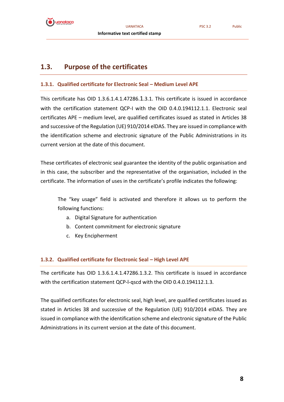

#### <span id="page-7-0"></span>**1.3. Purpose of the certificates**

#### <span id="page-7-1"></span>**1.3.1. Qualified certificate for Electronic Seal – Medium Level APE**

This certificate has OID 1.3.6.1.4.1.47286.1.3.1. This certificate is issued in accordance with the certification statement OCP-I with the OID 0.4.0.194112.1.1. Electronic seal certificates APE – medium level, are qualified certificates issued as stated in Articles 38 and successive of the Regulation (UE) 910/2014 elDAS. They are issued in compliance with the identification scheme and electronic signature of the Public Administrations in its current version at the date of this document.

These certificates of electronic seal guarantee the identity of the public organisation and in this case, the subscriber and the representative of the organisation, included in the certificate. The information of uses in the certificate's profile indicates the following:

The "key usage" field is activated and therefore it allows us to perform the following functions:

- a. Digital Signature for authentication
- b. Content commitment for electronic signature
- c. Key Encipherment

#### <span id="page-7-2"></span>**1.3.2. Qualified certificate for Electronic Seal – High Level APE**

The certificate has OID 1.3.6.1.4.1.47286.1.3.2. This certificate is issued in accordance with the certification statement QCP-l-qscd with the OID 0.4.0.194112.1.3.

The qualified certificates for electronic seal, high level, are qualified certificates issued as stated in Articles 38 and successive of the Regulation (UE) 910/2014 eIDAS. They are issued in compliance with the identification scheme and electronic signature of the Public Administrations in its current version at the date of this document.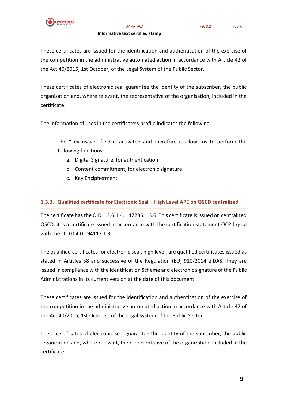

These certificates are issued for the identification and authentication of the exercise of the competition in the administrative automated action in accordance with Article 42 of the Act 40/2015, 1st October, of the Legal System of the Public Sector.

These certificates of electronic seal guarantee the identity of the subscriber, the public organisation and, where relevant, the representative of the organisation, included in the certificate.

The information of uses in the certificate's profile indicates the following:

The "key usage" field is activated and therefore it allows us to perform the following functions:

- a. Digital Signature, for authentication
- b. Content commitment, for electronic signature
- c. Key Encipherment

#### <span id="page-8-0"></span>**1.3.3. Qualified certificate for Electronic Seal – High Level APE on QSCD centralized**

The certificate has the OID 1.3.6.1.4.1.47286.1.3.6. This certificate is issued on centralized QSCD, it is a certificate issued in accordance with the certification statement QCP-l-qscd with the OID 0.4.0.194112.1.3.

The qualified certificates for electronic seal, high level, are qualified certificates issued as stated in Articles 38 and successive of the Regulation (EU) 910/2014 eIDAS. They are issued in compliance with the identification Scheme and electronic signature of the Public Administrations in its current version at the date of this document.

These certificates are issued for the identification and authentication of the exercise of the competition in the administrative automated action in accordance with Article 42 of the Act 40/2015, 1st October, of the Legal System of the Public Sector.

These certificates of electronic seal guarantee the identity of the subscriber, the public organization and, where relevant, the representative of the organization, included in the certificate.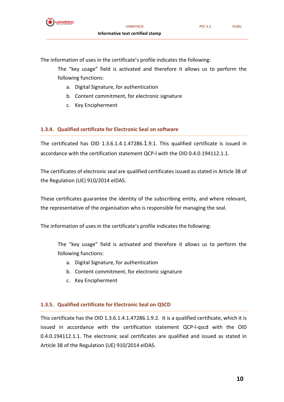

The information of uses in the certificate's profile indicates the following:

The "key usage" field is activated and therefore it allows us to perform the following functions:

- a. Digital Signature, for authentication
- b. Content commitment, for electronic signature
- c. Key Encipherment

#### <span id="page-9-0"></span>**1.3.4. Qualified certificate for Electronic Seal on software**

The certificated has OID 1.3.6.1.4.1.47286.1.9.1. This qualified certificate is issued in accordance with the certification statement QCP-l with the OID 0.4.0.194112.1.1.

The certificates of electronic seal are qualified certificates issued as stated in Article 38 of the Regulation (UE) 910/2014 eIDAS.

These certificates guarantee the identity of the subscribing entity, and where relevant, the representative of the organisation who is responsible for managing the seal.

The information of uses in the certificate's profile indicates the following:

The "key usage" field is activated and therefore it allows us to perform the following functions:

- a. Digital Signature, for authentication
- b. Content commitment, for electronic signature
- c. Key Encipherment

#### <span id="page-9-1"></span>**1.3.5. Qualified certificate for Electronic Seal on QSCD**

This certificate has the OID 1.3.6.1.4.1.47286.1.9.2. It is a qualified certificate, which it is issued in accordance with the certification statement QCP-l-qscd with the OID 0.4.0.194112.1.1. The electronic seal certificates are qualified and issued as stated in Article 38 of the Regulation (UE) 910/2014 eIDAS.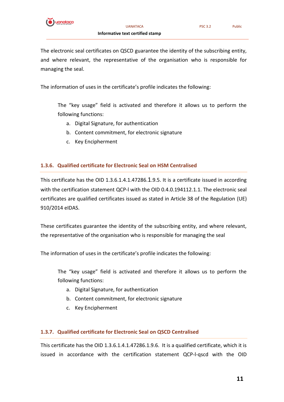

The electronic seal certificates on QSCD guarantee the identity of the subscribing entity, and where relevant, the representative of the organisation who is responsible for managing the seal.

The information of uses in the certificate's profile indicates the following:

The "key usage" field is activated and therefore it allows us to perform the following functions:

- a. Digital Signature, for authentication
- b. Content commitment, for electronic signature
- c. Key Encipherment

#### <span id="page-10-0"></span>**1.3.6. Qualified certificate for Electronic Seal on HSM Centralised**

This certificate has the OID 1.3.6.1.4.1.47286.1.9.5. It is a certificate issued in according with the certification statement QCP-l with the OID 0.4.0.194112.1.1. The electronic seal certificates are qualified certificates issued as stated in Article 38 of the Regulation (UE) 910/2014 eIDAS.

These certificates guarantee the identity of the subscribing entity, and where relevant, the representative of the organisation who is responsible for managing the seal

The information of uses in the certificate's profile indicates the following:

The "key usage" field is activated and therefore it allows us to perform the following functions:

- a. Digital Signature, for authentication
- b. Content commitment, for electronic signature
- c. Key Encipherment

#### <span id="page-10-1"></span>**1.3.7. Qualified certificate for Electronic Seal on QSCD Centralised**

This certificate has the OID 1.3.6.1.4.1.47286.1.9.6. It is a qualified certificate, which it is issued in accordance with the certification statement QCP-l-qscd with the OID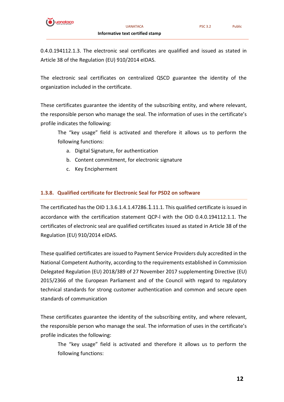

The electronic seal certificates on centralized QSCD guarantee the identity of the organization included in the certificate.

These certificates guarantee the identity of the subscribing entity, and where relevant, the responsible person who manage the seal. The information of uses in the certificate's profile indicates the following:

The "key usage" field is activated and therefore it allows us to perform the following functions:

- a. Digital Signature, for authentication
- b. Content commitment, for electronic signature
- c. Key Encipherment

#### <span id="page-11-0"></span>**1.3.8. Qualified certificate for Electronic Seal for PSD2 on software**

The certificated has the OID 1.3.6.1.4.1.47286.1.11.1. This qualified certificate is issued in accordance with the certification statement QCP-l with the OID 0.4.0.194112.1.1. The certificates of electronic seal are qualified certificates issued as stated in Article 38 of the Regulation (EU) 910/2014 eIDAS.

These qualified certificates are issued to Payment Service Providers duly accredited in the National Competent Authority, according to the requirements established in Commission Delegated Regulation (EU) 2018/389 of 27 November 2017 supplementing Directive (EU) 2015/2366 of the European Parliament and of the Council with regard to regulatory technical standards for strong customer authentication and common and secure open standards of communication

These certificates guarantee the identity of the subscribing entity, and where relevant, the responsible person who manage the seal. The information of uses in the certificate's profile indicates the following:

The "key usage" field is activated and therefore it allows us to perform the following functions: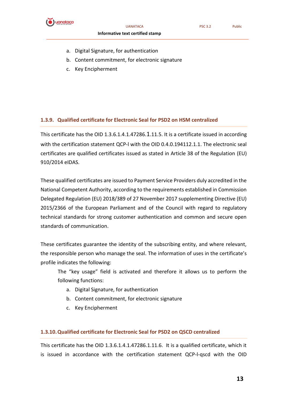

UANATACA PSC 3.2 Public

#### **Informative text certified stamp**

- a. Digital Signature, for authentication
- b. Content commitment, for electronic signature
- c. Key Encipherment

#### <span id="page-12-0"></span>**1.3.9. Qualified certificate for Electronic Seal for PSD2 on HSM centralized**

This certificate has the OID 1.3.6.1.4.1.47286.1.11.5. It is a certificate issued in according with the certification statement QCP-l with the OID 0.4.0.194112.1.1. The electronic seal certificates are qualified certificates issued as stated in Article 38 of the Regulation (EU) 910/2014 eIDAS.

These qualified certificates are issued to Payment Service Providers duly accredited in the National Competent Authority, according to the requirements established in Commission Delegated Regulation (EU) 2018/389 of 27 November 2017 supplementing Directive (EU) 2015/2366 of the European Parliament and of the Council with regard to regulatory technical standards for strong customer authentication and common and secure open standards of communication.

These certificates guarantee the identity of the subscribing entity, and where relevant, the responsible person who manage the seal. The information of uses in the certificate's profile indicates the following:

The "key usage" field is activated and therefore it allows us to perform the following functions:

- a. Digital Signature, for authentication
- b. Content commitment, for electronic signature
- c. Key Encipherment

#### <span id="page-12-1"></span>**1.3.10.Qualified certificate for Electronic Seal for PSD2 on QSCD centralized**

This certificate has the OID 1.3.6.1.4.1.47286.1.11.6. It is a qualified certificate, which it is issued in accordance with the certification statement QCP-l-qscd with the OID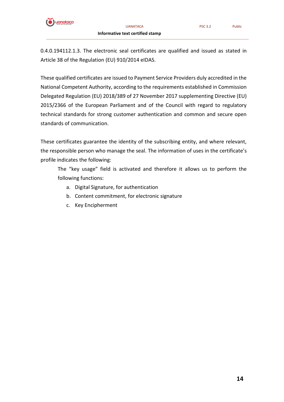

0.4.0.194112.1.3. The electronic seal certificates are qualified and issued as stated in Article 38 of the Regulation (EU) 910/2014 eIDAS.

These qualified certificates are issued to Payment Service Providers duly accredited in the National Competent Authority, according to the requirements established in Commission Delegated Regulation (EU) 2018/389 of 27 November 2017 supplementing Directive (EU) 2015/2366 of the European Parliament and of the Council with regard to regulatory technical standards for strong customer authentication and common and secure open standards of communication.

These certificates guarantee the identity of the subscribing entity, and where relevant, the responsible person who manage the seal. The information of uses in the certificate's profile indicates the following:

The "key usage" field is activated and therefore it allows us to perform the following functions:

- a. Digital Signature, for authentication
- b. Content commitment, for electronic signature
- c. Key Encipherment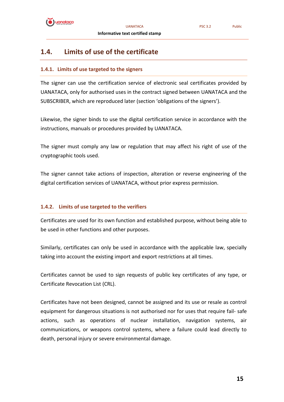

#### <span id="page-14-0"></span>**1.4. Limits of use of the certificate**

#### <span id="page-14-1"></span>**1.4.1. Limits of use targeted to the signers**

The signer can use the certification service of electronic seal certificates provided by UANATACA, only for authorised uses in the contract signed between UANATACA and the SUBSCRIBER, which are reproduced later (section 'obligations of the signers').

Likewise, the signer binds to use the digital certification service in accordance with the instructions, manuals or procedures provided by UANATACA.

The signer must comply any law or regulation that may affect his right of use of the cryptographic tools used.

The signer cannot take actions of inspection, alteration or reverse engineering of the digital certification services of UANATACA, without prior express permission.

#### <span id="page-14-2"></span>**1.4.2. Limits of use targeted to the verifiers**

Certificates are used for its own function and established purpose, without being able to be used in other functions and other purposes.

Similarly, certificates can only be used in accordance with the applicable law, specially taking into account the existing import and export restrictions at all times.

Certificates cannot be used to sign requests of public key certificates of any type, or Certificate Revocation List (CRL).

Certificates have not been designed, cannot be assigned and its use or resale as control equipment for dangerous situations is not authorised nor for uses that require fail- safe actions, such as operations of nuclear installation, navigation systems, air communications, or weapons control systems, where a failure could lead directly to death, personal injury or severe environmental damage.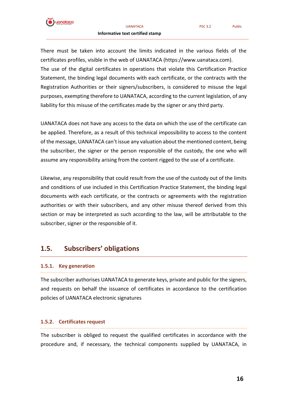

There must be taken into account the limits indicated in the various fields of the certificates profiles, visible in the web of UANATACA (https://www.uanataca.com). The use of the digital certificates in operations that violate this Certification Practice Statement, the binding legal documents with each certificate, or the contracts with the Registration Authorities or their signers/subscribers, is considered to misuse the legal purposes, exempting therefore to UANATACA, according to the current legislation, of any liability for this misuse of the certificates made by the signer or any third party.

UANATACA does not have any access to the data on which the use of the certificate can be applied. Therefore, as a result of this technical impossibility to access to the content of the message, UANATACA can't issue any valuation about the mentioned content, being the subscriber, the signer or the person responsible of the custody, the one who will assume any responsibility arising from the content rigged to the use of a certificate.

Likewise, any responsibility that could result from the use of the custody out of the limits and conditions of use included in this Certification Practice Statement, the binding legal documents with each certificate, or the contracts or agreements with the registration authorities or with their subscribers, and any other misuse thereof derived from this section or may be interpreted as such according to the law, will be attributable to the subscriber, signer or the responsible of it.

#### <span id="page-15-0"></span>**1.5. Subscribers' obligations**

#### <span id="page-15-1"></span>**1.5.1. Key generation**

The subscriber authorises UANATACA to generate keys, private and public for the signers, and requests on behalf the issuance of certificates in accordance to the certification policies of UANATACA electronic signatures

#### <span id="page-15-2"></span>**1.5.2. Certificates request**

The subscriber is obliged to request the qualified certificates in accordance with the procedure and, if necessary, the technical components supplied by UANATACA, in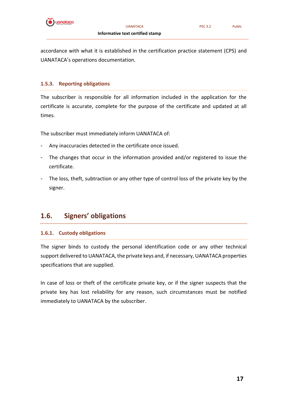

accordance with what it is established in the certification practice statement (CPS) and UANATACA's operations documentation.

#### <span id="page-16-0"></span>**1.5.3. Reporting obligations**

The subscriber is responsible for all information included in the application for the certificate is accurate, complete for the purpose of the certificate and updated at all times.

The subscriber must immediately inform UANATACA of:

- Any inaccuracies detected in the certificate once issued.
- The changes that occur in the information provided and/or registered to issue the certificate.
- The loss, theft, subtraction or any other type of control loss of the private key by the signer.

#### <span id="page-16-1"></span>**1.6. Signers' obligations**

#### <span id="page-16-2"></span>**1.6.1. Custody obligations**

The signer binds to custody the personal identification code or any other technical support delivered to UANATACA, the private keys and, if necessary, UANATACA properties specifications that are supplied.

In case of loss or theft of the certificate private key, or if the signer suspects that the private key has lost reliability for any reason, such circumstances must be notified immediately to UANATACA by the subscriber.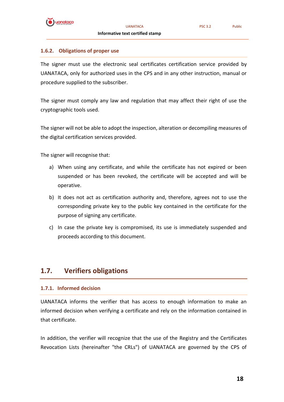

#### <span id="page-17-0"></span>**1.6.2. Obligations of proper use**

The signer must use the electronic seal certificates certification service provided by UANATACA, only for authorized uses in the CPS and in any other instruction, manual or procedure supplied to the subscriber.

The signer must comply any law and regulation that may affect their right of use the cryptographic tools used.

The signer will not be able to adopt the inspection, alteration or decompiling measures of the digital certification services provided.

The signer will recognise that:

- a) When using any certificate, and while the certificate has not expired or been suspended or has been revoked, the certificate will be accepted and will be operative.
- b) It does not act as certification authority and, therefore, agrees not to use the corresponding private key to the public key contained in the certificate for the purpose of signing any certificate.
- c) In case the private key is compromised, its use is immediately suspended and proceeds according to this document.

#### <span id="page-17-1"></span>**1.7. Verifiers obligations**

#### <span id="page-17-2"></span>**1.7.1. Informed decision**

UANATACA informs the verifier that has access to enough information to make an informed decision when verifying a certificate and rely on the information contained in that certificate.

In addition, the verifier will recognize that the use of the Registry and the Certificates Revocation Lists (hereinafter "the CRLs") of UANATACA are governed by the CPS of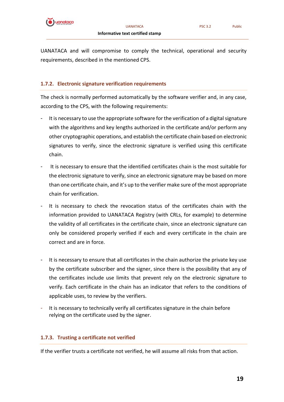

#### <span id="page-18-0"></span>**1.7.2. Electronic signature verification requirements**

The check is normally performed automatically by the software verifier and, in any case, according to the CPS, with the following requirements:

- It is necessary to use the appropriate software for the verification of a digital signature with the algorithms and key lengths authorized in the certificate and/or perform any other cryptographic operations, and establish the certificate chain based on electronic signatures to verify, since the electronic signature is verified using this certificate chain.
- It is necessary to ensure that the identified certificates chain is the most suitable for the electronic signature to verify, since an electronic signature may be based on more than one certificate chain, and it's up to the verifier make sure of the most appropriate chain for verification.
- It is necessary to check the revocation status of the certificates chain with the information provided to UANATACA Registry (with CRLs, for example) to determine the validity of all certificates in the certificate chain, since an electronic signature can only be considered properly verified if each and every certificate in the chain are correct and are in force.
- It is necessary to ensure that all certificates in the chain authorize the private key use by the certificate subscriber and the signer, since there is the possibility that any of the certificates include use limits that prevent rely on the electronic signature to verify. Each certificate in the chain has an indicator that refers to the conditions of applicable uses, to review by the verifiers.
- It is necessary to technically verify all certificates signature in the chain before relying on the certificate used by the signer.

#### <span id="page-18-1"></span>**1.7.3. Trusting a certificate not verified**

If the verifier trusts a certificate not verified, he will assume all risks from that action.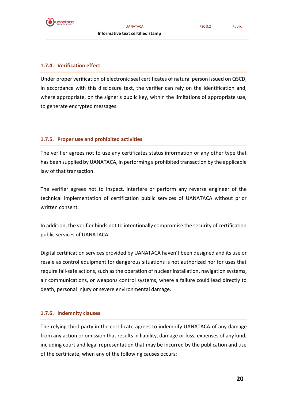

#### <span id="page-19-0"></span>**1.7.4. Verification effect**

Under proper verification of electronic seal certificates of natural person issued on QSCD, in accordance with this disclosure text, the verifier can rely on the identification and, where appropriate, on the signer's public key, within the limitations of appropriate use, to generate encrypted messages.

#### <span id="page-19-1"></span>**1.7.5. Proper use and prohibited activities**

The verifier agrees not to use any certificates status information or any other type that has been supplied by UANATACA, in performing a prohibited transaction by the applicable law of that transaction.

The verifier agrees not to inspect, interfere or perform any reverse engineer of the technical implementation of certification public services of UANATACA without prior written consent.

In addition, the verifier binds not to intentionally compromise the security of certification public services of UANATACA.

Digital certification services provided by UANATACA haven't been designed and its use or resale as control equipment for dangerous situations is not authorized nor for uses that require fail-safe actions, such as the operation of nuclear installation, navigation systems, air communications, or weapons control systems, where a failure could lead directly to death, personal injury or severe environmental damage.

#### <span id="page-19-2"></span>**1.7.6. Indemnity clauses**

The relying third party in the certificate agrees to indemnify UANATACA of any damage from any action or omission that results in liability, damage or loss, expenses of any kind, including court and legal representation that may be incurred by the publication and use of the certificate, when any of the following causes occurs: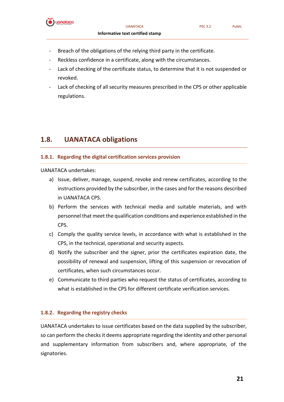

- Breach of the obligations of the relying third party in the certificate.
- Reckless confidence in a certificate, along with the circumstances.
- Lack of checking of the certificate status, to determine that it is not suspended or revoked.
- Lack of checking of all security measures prescribed in the CPS or other applicable regulations.

#### <span id="page-20-0"></span>**1.8. UANATACA obligations**

#### <span id="page-20-1"></span>**1.8.1. Regarding the digital certification services provision**

UANATACA undertakes:

- a) Issue, deliver, manage, suspend, revoke and renew certificates, according to the instructions provided by the subscriber, in the cases and for the reasons described in UANATACA CPS.
- b) Perform the services with technical media and suitable materials, and with personnel that meet the qualification conditions and experience established in the CPS.
- c) Comply the quality service levels, in accordance with what is established in the CPS, in the technical, operational and security aspects.
- d) Notify the subscriber and the signer, prior the certificates expiration date, the possibility of renewal and suspension, lifting of this suspension or revocation of certificates, when such circumstances occur.
- e) Communicate to third parties who request the status of certificates, according to what is established in the CPS for different certificate verification services.

#### <span id="page-20-2"></span>**1.8.2. Regarding the registry checks**

UANATACA undertakes to issue certificates based on the data supplied by the subscriber, so can perform the checks it deems appropriate regarding the identity and other personal and supplementary information from subscribers and, where appropriate, of the signatories.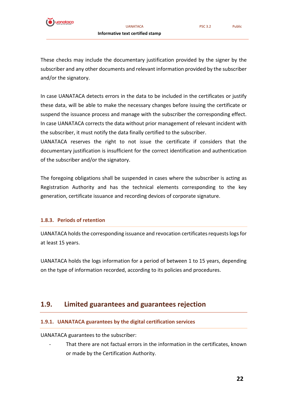

and/or the signatory.

In case UANATACA detects errors in the data to be included in the certificates or justify these data, will be able to make the necessary changes before issuing the certificate or suspend the issuance process and manage with the subscriber the corresponding effect. In case UANATACA corrects the data without prior management of relevant incident with the subscriber, it must notify the data finally certified to the subscriber.

UANATACA reserves the right to not issue the certificate if considers that the documentary justification is insufficient for the correct identification and authentication of the subscriber and/or the signatory.

The foregoing obligations shall be suspended in cases where the subscriber is acting as Registration Authority and has the technical elements corresponding to the key generation, certificate issuance and recording devices of corporate signature.

#### <span id="page-21-0"></span>**1.8.3. Periods of retention**

UANATACA holds the corresponding issuance and revocation certificates requests logs for at least 15 years.

UANATACA holds the logs information for a period of between 1 to 15 years, depending on the type of information recorded, according to its policies and procedures.

#### <span id="page-21-1"></span>**1.9. Limited guarantees and guarantees rejection**

#### <span id="page-21-2"></span>**1.9.1. UANATACA guarantees by the digital certification services**

UANATACA guarantees to the subscriber:

That there are not factual errors in the information in the certificates, known or made by the Certification Authority.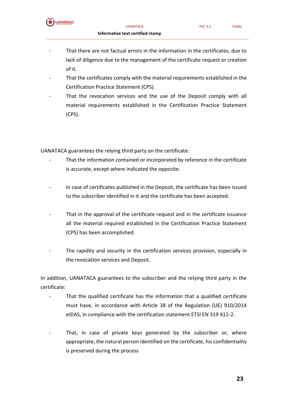

- That there are not factual errors in the information in the certificates, due to lack of diligence due to the management of the certificate request or creation of it.
- That the certificates comply with the material requirements established in the Certification Practice Statement (CPS).
- That the revocation services and the use of the Deposit comply with all material requirements established in the Certification Practice Statement (CPS).

UANATACA guarantees the relying third party on the certificate:

- That the information contained or incorporated by reference in the certificate is accurate, except where indicated the opposite.
- In case of certificates published in the Deposit, the certificate has been issued to the subscriber identified in it and the certificate has been accepted.
- That in the approval of the certificate request and in the certificate issuance all the material required established in the Certification Practice Statement (CPS) has been accomplished.
- The rapidity and security in the certification services provision, especially in the revocation services and Deposit.

In addition, UANATACA guarantees to the subscriber and the relying third party in the certificate:

- That the qualified certificate has the information that a qualified certificate must have, in accordance with Article 38 of the Regulation (UE) 910/2014 eIDAS, in compliance with the certification statement ETSI EN 319 411-2.
- That, in case of private keys generated by the subscriber or, where appropriate, the natural person identified on the certificate, his confidentiality is preserved during the process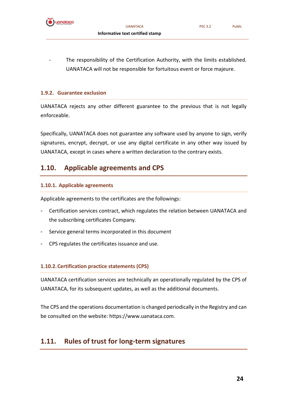

- 
- The responsibility of the Certification Authority, with the limits established. UANATACA will not be responsible for fortuitous event or force majeure.

#### <span id="page-23-0"></span>**1.9.2. Guarantee exclusion**

UANATACA rejects any other different guarantee to the previous that is not legally enforceable.

Specifically, UANATACA does not guarantee any software used by anyone to sign, verify signatures, encrypt, decrypt, or use any digital certificate in any other way issued by UANATACA, except in cases where a written declaration to the contrary exists.

#### <span id="page-23-1"></span>**1.10. Applicable agreements and CPS**

#### <span id="page-23-2"></span>**1.10.1. Applicable agreements**

Applicable agreements to the certificates are the followings:

- Certification services contract, which regulates the relation between UANATACA and the subscribing certificates Company.
- Service general terms incorporated in this document
- CPS regulates the certificates issuance and use.

#### <span id="page-23-3"></span>**1.10.2.Certification practice statements (CPS)**

UANATACA certification services are technically an operationally regulated by the CPS of UANATACA, for its subsequent updates, as well as the additional documents.

The CPS and the operations documentation is changed periodically in the Registry and can be consulted on the website: https://www.uanataca.com.

#### <span id="page-23-4"></span>**1.11. Rules of trust for long-term signatures**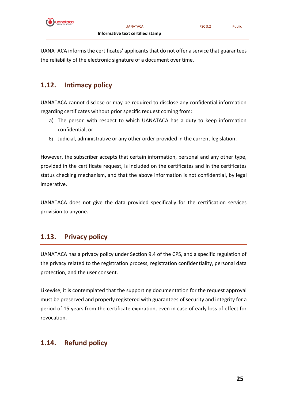

UANATACA informs the certificates' applicants that do not offer a service that guarantees the reliability of the electronic signature of a document over time.

### <span id="page-24-0"></span>**1.12. Intimacy policy**

UANATACA cannot disclose or may be required to disclose any confidential information regarding certificates without prior specific request coming from:

- a) The person with respect to which UANATACA has a duty to keep information confidential, or
- b) Judicial, administrative or any other order provided in the current legislation.

However, the subscriber accepts that certain information, personal and any other type, provided in the certificate request, is included on the certificates and in the certificates status checking mechanism, and that the above information is not confidential, by legal imperative.

UANATACA does not give the data provided specifically for the certification services provision to anyone.

### <span id="page-24-1"></span>**1.13. Privacy policy**

UANATACA has a privacy policy under Section 9.4 of the CPS, and a specific regulation of the privacy related to the registration process, registration confidentiality, personal data protection, and the user consent.

Likewise, it is contemplated that the supporting documentation for the request approval must be preserved and properly registered with guarantees of security and integrity for a period of 15 years from the certificate expiration, even in case of early loss of effect for revocation.

### <span id="page-24-2"></span>**1.14. Refund policy**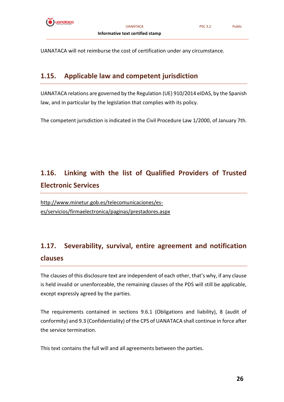

UANATACA will not reimburse the cost of certification under any circumstance.

#### <span id="page-25-0"></span>**1.15. Applicable law and competent jurisdiction**

UANATACA relations are governed by the Regulation (UE) 910/2014 eIDAS, by the Spanish law, and in particular by the legislation that complies with its policy.

The competent jurisdiction is indicated in the Civil Procedure Law 1/2000, of January 7th.

### <span id="page-25-1"></span>**1.16. Linking with the list of Qualified Providers of Trusted Electronic Services**

[http://www.minetur.gob.es/telecomunicaciones/es](http://www.minetur.gob.es/telecomunicaciones/es-es/servicios/firmaelectronica/paginas/prestadores.aspx)[es/servicios/firmaelectronica/paginas/prestadores.aspx](http://www.minetur.gob.es/telecomunicaciones/es-es/servicios/firmaelectronica/paginas/prestadores.aspx)

### <span id="page-25-2"></span>**1.17. Severability, survival, entire agreement and notification clauses**

The clauses of this disclosure text are independent of each other, that's why, if any clause is held invalid or unenforceable, the remaining clauses of the PDS will still be applicable, except expressly agreed by the parties.

The requirements contained in sections 9.6.1 (Obligations and liability), 8 (audit of conformity) and 9.3 (Confidentiality) of the CPS of UANATACA shall continue in force after the service termination.

This text contains the full will and all agreements between the parties.